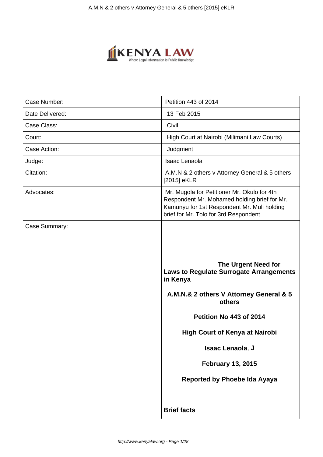

| Case Number:    | Petition 443 of 2014                                                                                                                                                                                                                                                                              |
|-----------------|---------------------------------------------------------------------------------------------------------------------------------------------------------------------------------------------------------------------------------------------------------------------------------------------------|
| Date Delivered: | 13 Feb 2015                                                                                                                                                                                                                                                                                       |
| Case Class:     | Civil                                                                                                                                                                                                                                                                                             |
| Court:          | High Court at Nairobi (Milimani Law Courts)                                                                                                                                                                                                                                                       |
| Case Action:    | Judgment                                                                                                                                                                                                                                                                                          |
| Judge:          | <b>Isaac Lenaola</b>                                                                                                                                                                                                                                                                              |
| Citation:       | A.M.N & 2 others v Attorney General & 5 others<br>[2015] eKLR                                                                                                                                                                                                                                     |
| Advocates:      | Mr. Mugola for Petitioner Mr. Okulo for 4th<br>Respondent Mr. Mohamed holding brief for Mr.<br>Kamunyu for 1st Respondent Mr. Muli holding<br>brief for Mr. Tolo for 3rd Respondent                                                                                                               |
| Case Summary:   |                                                                                                                                                                                                                                                                                                   |
|                 | <b>The Urgent Need for</b><br>Laws to Regulate Surrogate Arrangements<br>in Kenya<br>A.M.N.& 2 others V Attorney General & 5<br>others<br>Petition No 443 of 2014<br><b>High Court of Kenya at Nairobi</b><br>Isaac Lenaola, J<br><b>February 13, 2015</b><br><b>Reported by Phoebe Ida Ayaya</b> |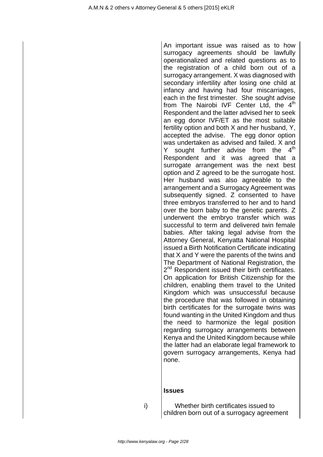An important issue was raised as to how surrogacy agreements should be lawfully operationalized and related questions as to the registration of a child born out of a surrogacy arrangement. X was diagnosed with secondary infertility after losing one child at infancy and having had four miscarriages, each in the first trimester. She sought advise from The Nairobi IVF Center Ltd, the  $4<sup>th</sup>$ Respondent and the latter advised her to seek an egg donor IVF/ET as the most suitable fertility option and both X and her husband, Y, accepted the advise. The egg donor option was undertaken as advised and failed. X and Y sought further advise from the  $4<sup>th</sup>$ Respondent and it was agreed that a surrogate arrangement was the next best option and Z agreed to be the surrogate host. Her husband was also agreeable to the arrangement and a Surrogacy Agreement was subsequently signed. Z consented to have three embryos transferred to her and to hand over the born baby to the genetic parents. Z underwent the embryo transfer which was successful to term and delivered twin female babies. After taking legal advise from the Attorney General, Kenyatta National Hospital issued a Birth Notification Certificate indicating that X and Y were the parents of the twins and The Department of National Registration, the 2<sup>nd</sup> Respondent issued their birth certificates. On application for British Citizenship for the children, enabling them travel to the United Kingdom which was unsuccessful because the procedure that was followed in obtaining birth certificates for the surrogate twins was found wanting in the United Kingdom and thus the need to harmonize the legal position regarding surrogacy arrangements between Kenya and the United Kingdom because while the latter had an elaborate legal framework to govern surrogacy arrangements, Kenya had none.

### **Issues**

i) Whether birth certificates issued to children born out of a surrogacy agreement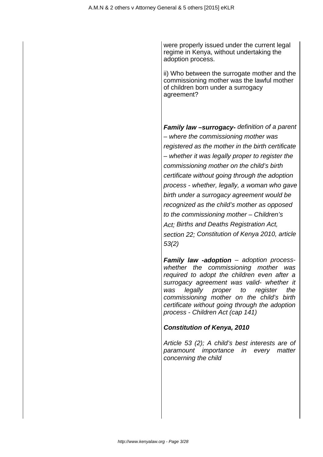were properly issued under the current legal regime in Kenya, without undertaking the adoption process.

ii) Who between the surrogate mother and the commissioning mother was the lawful mother of children born under a surrogacy agreement?

**Family law –surrogacy-** definition of a parent – where the commissioning mother was registered as the mother in the birth certificate – whether it was legally proper to register the commissioning mother on the child's birth certificate without going through the adoption process - whether, legally, a woman who gave birth under a surrogacy agreement would be recognized as the child's mother as opposed to the commissioning mother – Children's Act: Births and Deaths Registration Act, section 22; Constitution of Kenya 2010, article 53(2)

**Family law -adoption** – adoption processwhether the commissioning mother was required to adopt the children even after a surrogacy agreement was valid- whether it was legally proper to register the commissioning mother on the child's birth certificate without going through the adoption process - Children Act (cap 141)

## **Constitution of Kenya, 2010**

Article 53 (2); A child's best interests are of paramount importance in every matter concerning the child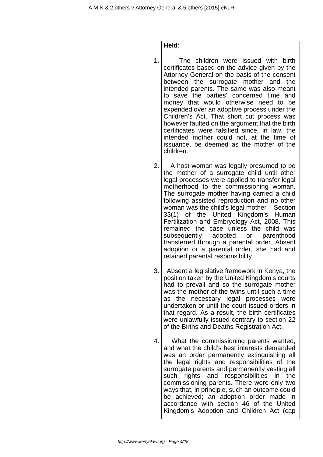**Held:**

1. The children were issued with birth certificates based on the advice given by the Attorney General on the basis of the consent between the surrogate mother and the intended parents. The same was also meant to save the parties' concerned time and money that would otherwise need to be expended over an adoptive process under the Children's Act. That short cut process was however faulted on the argument that the birth certificates were falsified since, in law, the intended mother could not, at the time of issuance, be deemed as the mother of the children.

2. A host woman was legally presumed to be the mother of a surrogate child until other legal processes were applied to transfer legal motherhood to the commissioning woman. The surrogate mother having carried a child following assisted reproduction and no other woman was the child's legal mother – Section 33(1) of the United Kingdom's Human Fertilization and Embryology Act, 2008. This remained the case unless the child was subsequently adopted or parenthood transferred through a parental order. Absent adoption or a parental order, she had and retained parental responsibility.

- 3. Absent a legislative framework in Kenya, the position taken by the United Kingdom's courts had to prevail and so the surrogate mother was the mother of the twins until such a time as the necessary legal processes were undertaken or until the court issued orders in that regard. As a result, the birth certificates were unlawfully issued contrary to section 22 of the Births and Deaths Registration Act.
- 4. What the commissioning parents wanted, and what the child's best interests demanded was an order permanently extinguishing all the legal rights and responsibilities of the surrogate parents and permanently vesting all such rights and responsibilities in the commissioning parents. There were only two ways that, in principle, such an outcome could be achieved; an adoption order made in accordance with section 46 of the United Kingdom's Adoption and Children Act (cap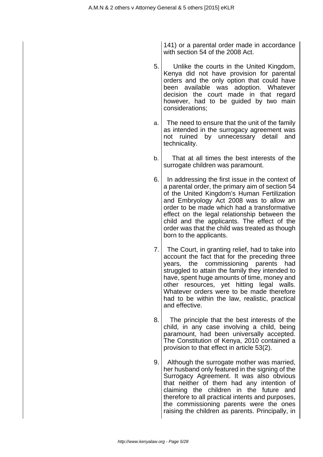141) or a parental order made in accordance with section 54 of the 2008 Act.

- 5. Unlike the courts in the United Kingdom, Kenya did not have provision for parental orders and the only option that could have been available was adoption. Whatever decision the court made in that regard however, had to be guided by two main considerations;
- $a.$  The need to ensure that the unit of the family as intended in the surrogacy agreement was not ruined by unnecessary detail and technicality.
- b. That at all times the best interests of the surrogate children was paramount.
- 6. In addressing the first issue in the context of a parental order, the primary aim of section 54 of the United Kingdom's Human Fertilization and Embryology Act 2008 was to allow an order to be made which had a transformative effect on the legal relationship between the child and the applicants. The effect of the order was that the child was treated as though born to the applicants.
- 7. The Court, in granting relief, had to take into account the fact that for the preceding three years, the commissioning parents had struggled to attain the family they intended to have, spent huge amounts of time, money and other resources, yet hitting legal walls. Whatever orders were to be made therefore had to be within the law, realistic, practical and effective.
- 8. The principle that the best interests of the child, in any case involving a child, being paramount, had been universally accepted. The Constitution of Kenya, 2010 contained a provision to that effect in article 53(2).
- 9. Although the surrogate mother was married, her husband only featured in the signing of the Surrogacy Agreement. It was also obvious that neither of them had any intention of claiming the children in the future and therefore to all practical intents and purposes, the commissioning parents were the ones raising the children as parents. Principally, in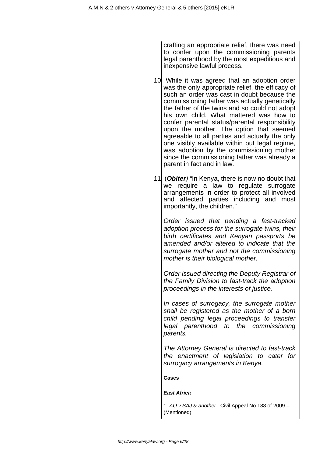crafting an appropriate relief, there was need to confer upon the commissioning parents legal parenthood by the most expeditious and inexpensive lawful process.

- 10. While it was agreed that an adoption order was the only appropriate relief, the efficacy of such an order was cast in doubt because the commissioning father was actually genetically the father of the twins and so could not adopt his own child. What mattered was how to confer parental status/parental responsibility upon the mother. The option that seemed agreeable to all parties and actually the only one visibly available within out legal regime, was adoption by the commissioning mother since the commissioning father was already a parent in fact and in law.
- 11. (**Obiter**) "In Kenya, there is now no doubt that we require a law to regulate surrogate arrangements in order to protect all involved and affected parties including and most importantly, the children."

Order issued that pending a fast-tracked adoption process for the surrogate twins, their birth certificates and Kenyan passports be amended and/or altered to indicate that the surrogate mother and not the commissioning mother is their biological mother.

Order issued directing the Deputy Registrar of the Family Division to fast-track the adoption proceedings in the interests of justice.

In cases of surrogacy, the surrogate mother shall be registered as the mother of a born child pending legal proceedings to transfer legal parenthood to the commissioning parents.

The Attorney General is directed to fast-track the enactment of legislation to cater for surrogacy arrangements in Kenya.

**Cases**

#### **East Africa**

1. AO v SAJ & another Civil Appeal No 188 of 2009 – (Mentioned)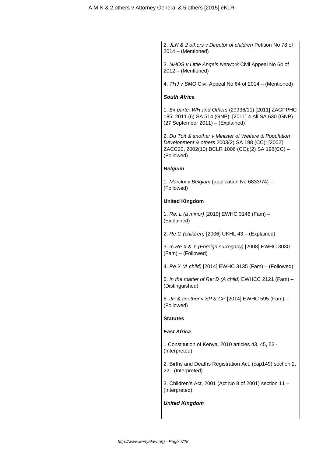2. JLN & 2 others v Director of children Petition No 78 of 2014 – (Mentioned)

3. NHOS v Little Angels Network Civil Appeal No 64 of 2012 – (Mentioned)

4. THJ v SMO Civil Appeal No 64 of 2014 – (Mentioned)

#### **South Africa**

1. Ex parte: WH and Others (29936/11) [2011] ZAGPPHC 185; 2011 (6) SA 514 (GNP); [2011] 4 All SA 630 (GNP) (27 September 2011) – (Explained)

2. Du Toit & another v Minister of Welfare & Population Development & others 2003(2) SA 198 (CC); [2002] ZACC20, 2002(10) BCLR 1006 (CC);(2) SA 198(CC) – (Followed)

#### **Belgium**

1. Marckx v Belgium (application No 6833/74) – (Followed)

#### **United Kingdom**

1. Re: L (a minor) [2010] EWHC 3146 (Fam) – (Explained)

2. Re G (children) [2006] UKHL 43 – (Explained)

3. In Re X & Y (Foreign surrogacy) [2008] EWHC 3030 (Fam) – (Followed)

4. Re X (A child) [2014] EWHC 3135 (Fam) – (Followed)

5. In the matter of Re: D (A child) EWHCC 2121 (Fam) – (Distinguished)

6. JP & another v SP & CP [2014] EWHC 595 (Fam) – (Followed)

#### **Statutes**

#### **East Africa**

1 Constitution of Kenya, 2010 articles 43, 45, 53 - (Interpreted)

2. Births and Deaths Registration Act, (cap149) section 2, 22 - (Interpreted)

3. Children's Act, 2001 (Act No 8 of 2001) section 11 – (Interpreted)

#### **United Kingdom**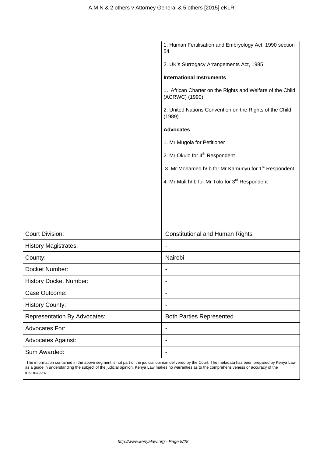|                                     | 1. Human Fertilisation and Embryology Act, 1990 section<br>54               |  |
|-------------------------------------|-----------------------------------------------------------------------------|--|
|                                     | 2. UK's Surrogacy Arrangements Act, 1985                                    |  |
|                                     | <b>International Instruments</b>                                            |  |
|                                     | 1. African Charter on the Rights and Welfare of the Child<br>(ACRWC) (1990) |  |
|                                     | 2. United Nations Convention on the Rights of the Child<br>(1989)           |  |
|                                     | <b>Advocates</b>                                                            |  |
|                                     | 1. Mr Mugola for Petitioner                                                 |  |
|                                     | 2. Mr Okulo for 4 <sup>th</sup> Respondent                                  |  |
|                                     | 3. Mr Mohamed h/ b for Mr Kamunyu for 1 <sup>st</sup> Respondent            |  |
|                                     | 4. Mr Muli h/ b for Mr Tolo for 3rd Respondent                              |  |
|                                     |                                                                             |  |
|                                     |                                                                             |  |
|                                     |                                                                             |  |
| <b>Court Division:</b>              | <b>Constitutional and Human Rights</b>                                      |  |
| <b>History Magistrates:</b>         |                                                                             |  |
| County:                             | Nairobi                                                                     |  |
| Docket Number:                      | $\overline{\phantom{a}}$                                                    |  |
| History Docket Number:              | $\overline{\phantom{a}}$                                                    |  |
| Case Outcome:                       | $\overline{\phantom{a}}$                                                    |  |
| <b>History County:</b>              | $\blacksquare$                                                              |  |
| <b>Representation By Advocates:</b> | <b>Both Parties Represented</b>                                             |  |
| Advocates For:                      |                                                                             |  |
| Advocates Against:                  | $\overline{\phantom{a}}$                                                    |  |
| Sum Awarded:                        | $\blacksquare$                                                              |  |

 The information contained in the above segment is not part of the judicial opinion delivered by the Court. The metadata has been prepared by Kenya Law as a guide in understanding the subject of the judicial opinion. Kenya Law makes no warranties as to the comprehensiveness or accuracy of the information.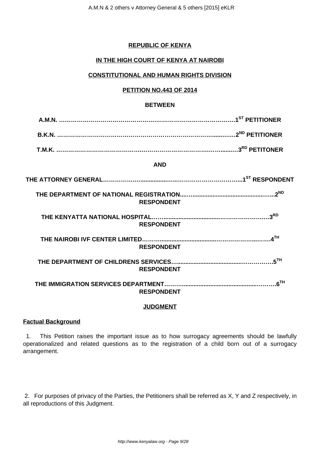### **REPUBLIC OF KENYA**

## **IN THE HIGH COURT OF KENYA AT NAIROBI**

## **CONSTITUTIONAL AND HUMAN RIGHTS DIVISION**

### **PETITION NO.443 OF 2014**

### **BETWEEN**

**T.M.K. …………………………………….…………………………….…….......…3RD PETITONER**

### **AND**

| <b>RESPONDENT</b> |                            |
|-------------------|----------------------------|
| <b>RESPONDENT</b> | 3 <sup>RD</sup>            |
| <b>RESPONDENT</b> | $\mathbf{A}^{\mathsf{TH}}$ |
| <b>RESPONDENT</b> | 55H                        |
| <b>RESPONDENT</b> | $6$ <sup>TH</sup>          |

### **JUDGMENT**

#### **Factual Background**

1. This Petition raises the important issue as to how surrogacy agreements should be lawfully operationalized and related questions as to the registration of a child born out of a surrogacy arrangement.

2. For purposes of privacy of the Parties, the Petitioners shall be referred as X, Y and Z respectively, in all reproductions of this Judgment.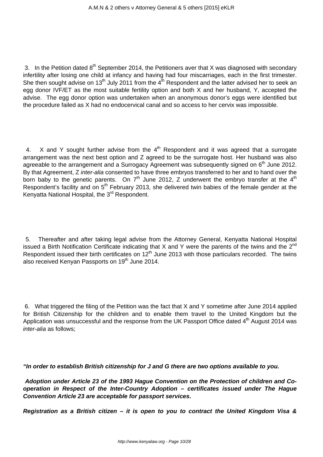3. In the Petition dated  $8<sup>th</sup>$  September 2014, the Petitioners aver that X was diagnosed with secondary infertility after losing one child at infancy and having had four miscarriages, each in the first trimester. She then sought advise on 13<sup>th</sup> July 2011 from the 4<sup>th</sup> Respondent and the latter advised her to seek an egg donor IVF/ET as the most suitable fertility option and both X and her husband, Y, accepted the advise. The egg donor option was undertaken when an anonymous donor's eggs were identified but the procedure failed as X had no endocervical canal and so access to her cervix was impossible.

4. X and Y sought further advise from the  $4<sup>th</sup>$  Respondent and it was agreed that a surrogate arrangement was the next best option and Z agreed to be the surrogate host. Her husband was also agreeable to the arrangement and a Surrogacy Agreement was subsequently signed on  $6<sup>th</sup>$  June 2012. By that Agreement, Z inter-alia consented to have three embryos transferred to her and to hand over the born baby to the genetic parents. On  $7<sup>th</sup>$  June 2012, Z underwent the embryo transfer at the  $4<sup>th</sup>$ Respondent's facility and on 5<sup>th</sup> February 2013, she delivered twin babies of the female gender at the Kenyatta National Hospital, the 3rd Respondent.

5. Thereafter and after taking legal advise from the Attorney General, Kenyatta National Hospital issued a Birth Notification Certificate indicating that  $X$  and  $Y$  were the parents of the twins and the  $2<sup>nd</sup>$ Respondent issued their birth certificates on  $12<sup>th</sup>$  June 2013 with those particulars recorded. The twins also received Kenyan Passports on 19<sup>th</sup> June 2014.

6. What triggered the filing of the Petition was the fact that X and Y sometime after June 2014 applied for British Citizenship for the children and to enable them travel to the United Kingdom but the Application was unsuccessful and the response from the UK Passport Office dated  $4<sup>th</sup>$  August 2014 was inter-alia as follows;

**"In order to establish British citizenship for J and G there are two options available to you.**

**Adoption under Article 23 of the 1993 Hague Convention on the Protection of children and Cooperation in Respect of the Inter-Country Adoption – certificates issued under The Hague Convention Article 23 are acceptable for passport services.**

**Registration as a British citizen – it is open to you to contract the United Kingdom Visa &**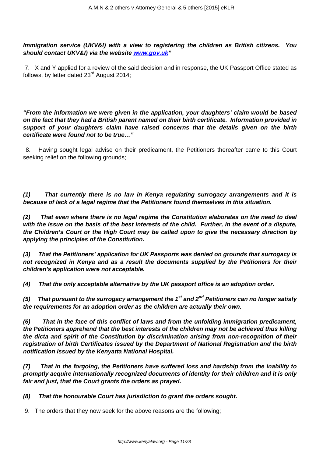**Immigration service (UKV&I) with a view to registering the children as British citizens. You should contact UKV&I) via the website [www.gov.uk](http://www.gov.uk)"**

7. X and Y applied for a review of the said decision and in response, the UK Passport Office stated as follows, by letter dated 23<sup>rd</sup> August 2014;

**"From the information we were given in the application, your daughters' claim would be based on the fact that they had a British parent named on their birth certificate. Information provided in support of your daughters claim have raised concerns that the details given on the birth certificate were found not to be true…"**

8. Having sought legal advise on their predicament, the Petitioners thereafter came to this Court seeking relief on the following grounds;

**(1) That currently there is no law in Kenya regulating surrogacy arrangements and it is because of lack of a legal regime that the Petitioners found themselves in this situation.**

**(2) That even where there is no legal regime the Constitution elaborates on the need to deal with the issue on the basis of the best interests of the child. Further, in the event of a dispute, the Children's Court or the High Court may be called upon to give the necessary direction by applying the principles of the Constitution.**

**(3) That the Petitioners' application for UK Passports was denied on grounds that surrogacy is not recognized in Kenya and as a result the documents supplied by the Petitioners for their children's application were not acceptable.**

**(4) That the only acceptable alternative by the UK passport office is an adoption order.**

**(5) That pursuant to the surrogacy arrangement the 1st and 2nd Petitioners can no longer satisfy the requirements for an adoption order as the children are actually their own.**

**(6) That in the face of this conflict of laws and from the unfolding immigration predicament, the Petitioners apprehend that the best interests of the children may not be achieved thus killing the dicta and spirit of the Constitution by discrimination arising from non-recognition of their registration of birth Certificates issued by the Department of National Registration and the birth notification issued by the Kenyatta National Hospital.**

**(7) That in the forgoing, the Petitioners have suffered loss and hardship from the inability to promptly acquire internationally recognized documents of identity for their children and it is only fair and just, that the Court grants the orders as prayed.**

**(8) That the honourable Court has jurisdiction to grant the orders sought.**

9. The orders that they now seek for the above reasons are the following;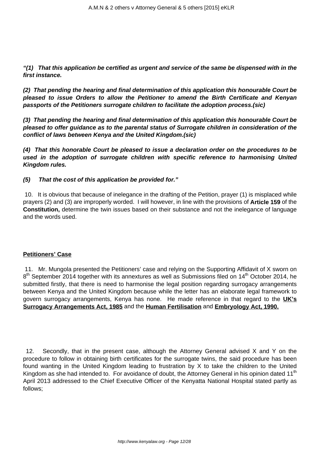**"(1) That this application be certified as urgent and service of the same be dispensed with in the first instance.**

**(2) That pending the hearing and final determination of this application this honourable Court be pleased to issue Orders to allow the Petitioner to amend the Birth Certificate and Kenyan passports of the Petitioners surrogate children to facilitate the adoption process.(sic)**

**(3) That pending the hearing and final determination of this application this honourable Court be pleased to offer guidance as to the parental status of Surrogate children in consideration of the conflict of laws between Kenya and the United Kingdom.(sic)**

**(4) That this honorable Court be pleased to issue a declaration order on the procedures to be used in the adoption of surrogate children with specific reference to harmonising United Kingdom rules.**

**(5) That the cost of this application be provided for."**

10. It is obvious that because of inelegance in the drafting of the Petition, prayer (1) is misplaced while prayers (2) and (3) are improperly worded. I will however, in line with the provisions of **Article 159** of the **Constitution,** determine the twin issues based on their substance and not the inelegance of language and the words used.

### **Petitioners' Case**

11. Mr. Mungola presented the Petitioners' case and relying on the Supporting Affidavit of X sworn on 8<sup>th</sup> September 2014 together with its annextures as well as Submissions filed on 14<sup>th</sup> October 2014, he submitted firstly, that there is need to harmonise the legal position regarding surrogacy arrangements between Kenya and the United Kingdom because while the letter has an elaborate legal framework to govern surrogacy arrangements, Kenya has none. He made reference in that regard to the **UK's Surrogacy Arrangements Act, 1985** and the **Human Fertilisation** and **Embryology Act, 1990.**

12. Secondly, that in the present case, although the Attorney General advised X and Y on the procedure to follow in obtaining birth certificates for the surrogate twins, the said procedure has been found wanting in the United Kingdom leading to frustration by X to take the children to the United Kingdom as she had intended to. For avoidance of doubt, the Attorney General in his opinion dated 11<sup>th</sup> April 2013 addressed to the Chief Executive Officer of the Kenyatta National Hospital stated partly as follows;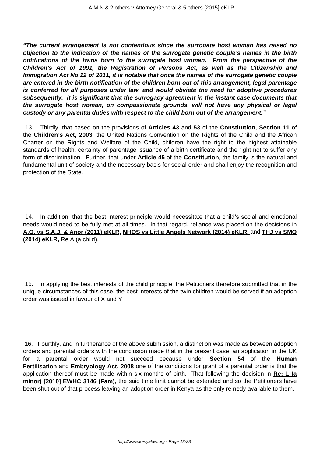**"The current arrangement is not contentious since the surrogate host woman has raised no objection to the indication of the names of the surrogate genetic couple's names in the birth notifications of the twins born to the surrogate host woman. From the perspective of the Children's Act of 1991, the Registration of Persons Act, as well as the Citizenship and Immigration Act No.12 of 2011, it is notable that once the names of the surrogate genetic couple are entered in the birth notification of the children born out of this arrangement, legal parentage is conferred for all purposes under law, and would obviate the need for adoptive procedures subsequently. It is significant that the surrogacy agreement in the instant case documents that the surrogate host woman, on compassionate grounds, will not have any physical or legal custody or any parental duties with respect to the child born out of the arrangement."**

13. Thirdly, that based on the provisions of **Articles 43** and **53** of the **Constitution, Section 11** of the **Children's Act, 2003**, the United Nations Convention on the Rights of the Child and the African Charter on the Rights and Welfare of the Child, children have the right to the highest attainable standards of health, certainty of parentage issuance of a birth certificate and the right not to suffer any form of discrimination. Further, that under **Article 45** of the **Constitution**, the family is the natural and fundamental unit of society and the necessary basis for social order and shall enjoy the recognition and protection of the State.

14. In addition, that the best interest principle would necessitate that a child's social and emotional needs would need to be fully met at all times. In that regard, reliance was placed on the decisions in **A.O. vs S.A.J. & Anor (2011) eKLR, NHOS vs Little Angels Network (2014) eKLR,** and **THJ vs SMO (2014) eKLR,** Re A (a child).

15. In applying the best interests of the child principle, the Petitioners therefore submitted that in the unique circumstances of this case, the best interests of the twin children would be served if an adoption order was issued in favour of X and Y.

16. Fourthly, and in furtherance of the above submission, a distinction was made as between adoption orders and parental orders with the conclusion made that in the present case, an application in the UK for a parental order would not succeed because under **Section 54** of the **Human Fertilisation** and **Embryology Act, 2008** one of the conditions for grant of a parental order is that the application thereof must be made within six months of birth. That following the decision in **Re: L (a minor) [2010] EWHC 3146 (Fam),** the said time limit cannot be extended and so the Petitioners have been shut out of that process leaving an adoption order in Kenya as the only remedy available to them.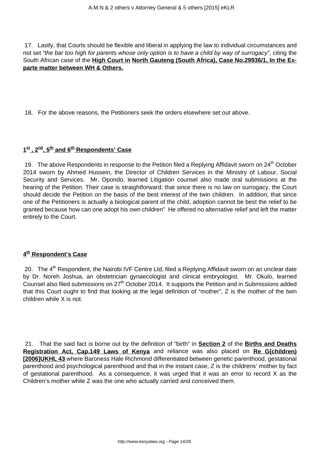17. Lastly, that Courts should be flexible and liberal in applying the law to individual circumstances and not set "the bar too high for parents whose only option is to have a child by way of surrogacy", citing the South African case of the **High Court in North Gauteng (South Africa), Case No.29936/1, In the Exparte matter between WH & Others.**

18. For the above reasons, the Petitioners seek the orders elsewhere set out above.

### **1 st , 2nd, 5th and 6th Respondents' Case**

19. The above Respondents in response to the Petition filed a Replying Affidavit sworn on 24<sup>th</sup> October 2014 sworn by Ahmed Hussein, the Director of Children Services in the Ministry of Labour, Social Security and Services. Mr. Opondo, learned Litigation counsel also made oral submissions at the hearing of the Petition. Their case is straightforward; that since there is no law on surrogacy, the Court should decide the Petition on the basis of the best interest of the twin children. In addition, that since one of the Petitioners is actually a biological parent of the child, adoption cannot be best the relief to be granted because how can one adopt his own children" He offered no alternative relief and left the matter entirely to the Court.

## **4 th Respondent's Case**

20. The 4<sup>th</sup> Respondent, the Nairobi IVF Centre Ltd, filed a Replying Affidavit sworn on an unclear date by Dr. Noreh Joshua, an obstetrician gynaecologist and clinical embryologist. Mr. Okulo, learned Counsel also filed submissions on 27<sup>th</sup> October 2014. It supports the Petition and in Submissions added that this Court ought to find that looking at the legal definition of "mother", Z is the mother of the twin children while X is not.

21. That the said fact is borne out by the definition of "birth" in **Section 2** of the **Births and Deaths Registration Act, Cap.149 Laws of Kenya** and reliance was also placed on **Re G(children) [2006]UKHL 43** where Baroness Hale Richmond differentiated between genetic parenthood, gestational parenthood and psychological parenthood and that in the instant case, Z is the childrens' mother by fact of gestational parenthood. As a consequence, it was urged that it was an error to record X as the Children's mother while Z was the one who actually carried and conceived them.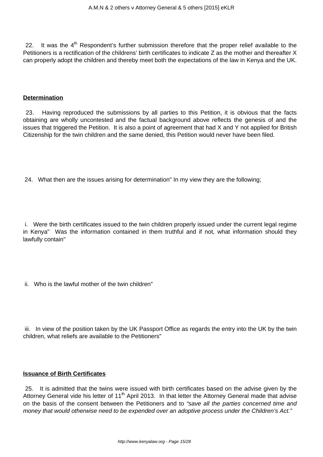22. It was the  $4<sup>th</sup>$  Respondent's further submission therefore that the proper relief available to the Petitioners is a rectification of the childrens' birth certificates to indicate Z as the mother and thereafter X can properly adopt the children and thereby meet both the expectations of the law in Kenya and the UK.

### **Determination**

23. Having reproduced the submissions by all parties to this Petition, it is obvious that the facts obtaining are wholly uncontested and the factual background above reflects the genesis of and the issues that triggered the Petition. It is also a point of agreement that had X and Y not applied for British Citizenship for the twin children and the same denied, this Petition would never have been filed.

24. What then are the issues arising for determination" In my view they are the following;

i. Were the birth certificates issued to the twin children properly issued under the current legal regime in Kenya" Was the information contained in them truthful and if not, what information should they lawfully contain"

ii. Who is the lawful mother of the twin children"

iii. In view of the position taken by the UK Passport Office as regards the entry into the UK by the twin children, what reliefs are available to the Petitioners"

### **Issuance of Birth Certificates**

25. It is admitted that the twins were issued with birth certificates based on the advise given by the Attorney General vide his letter of 11<sup>th</sup> April 2013. In that letter the Attorney General made that advise on the basis of the consent between the Petitioners and to "save all the parties concerned time and money that would otherwise need to be expended over an adoptive process under the Children's Act."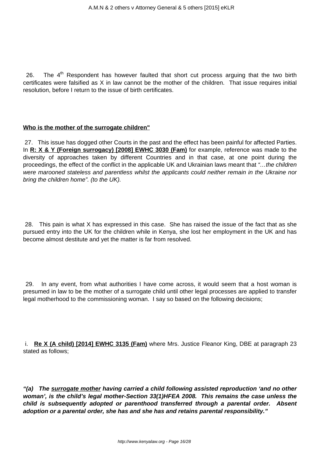26. The  $4<sup>th</sup>$  Respondent has however faulted that short cut process arguing that the two birth certificates were falsified as X in law cannot be the mother of the children. That issue requires initial resolution, before I return to the issue of birth certificates.

### **Who is the mother of the surrogate children"**

27. This issue has dogged other Courts in the past and the effect has been painful for affected Parties. In **R: X & Y (Foreign surrogacy) [2008] EWHC 3030 (Fam)** for example, reference was made to the diversity of approaches taken by different Countries and in that case, at one point during the proceedings, the effect of the conflict in the applicable UK and Ukrainian laws meant that "…the children were marooned stateless and parentless whilst the applicants could neither remain in the Ukraine nor bring the children home". (to the UK).

28. This pain is what X has expressed in this case. She has raised the issue of the fact that as she pursued entry into the UK for the children while in Kenya, she lost her employment in the UK and has become almost destitute and yet the matter is far from resolved.

29. In any event, from what authorities I have come across, it would seem that a host woman is presumed in law to be the mother of a surrogate child until other legal processes are applied to transfer legal motherhood to the commissioning woman. I say so based on the following decisions;

i. **Re X (A child) [2014] EWHC 3135 (Fam)** where Mrs. Justice Fleanor King, DBE at paragraph 23 stated as follows;

**"(a) The surrogate mother having carried a child following assisted reproduction 'and no other woman', is the child's legal mother-Section 33(1)HFEA 2008. This remains the case unless the child is subsequently adopted or parenthood transferred through a parental order. Absent adoption or a parental order, she has and she has and retains parental responsibility."**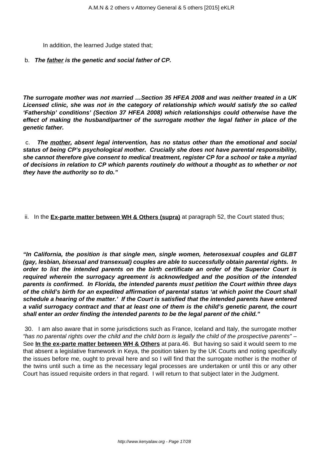In addition, the learned Judge stated that;

### b. **The father is the genetic and social father of CP.**

**The surrogate mother was not married …Section 35 HFEA 2008 and was neither treated in a UK Licensed clinic, she was not in the category of relationship which would satisfy the so called 'Fathership' conditions' (Section 37 HFEA 2008) which relationships could otherwise have the effect of making the husband/partner of the surrogate mother the legal father in place of the genetic father.**

c. **The mother, absent legal intervention, has no status other than the emotional and social status of being CP's psychological mother. Crucially she does not have parental responsibility, she cannot therefore give consent to medical treatment, register CP for a school or take a myriad of decisions in relation to CP which parents routinely do without a thought as to whether or not they have the authority so to do."**

ii. In the **Ex-parte matter between WH & Others (supra)** at paragraph 52, the Court stated thus;

**"In California, the position is that single men, single women, heterosexual couples and GLBT (gay, lesbian, bisexual and transexual) couples are able to successfully obtain parental rights. In order to list the intended parents on the birth certificate an order of the Superior Court is required wherein the surrogacy agreement is acknowledged and the position of the intended parents is confirmed. In Florida, the intended parents must petition the Court within three days of the child's birth for an expedited affirmation of parental status 'at which point the Court shall schedule a hearing of the matter.' If the Court is satisfied that the intended parents have entered a valid surrogacy contract and that at least one of them is the child's genetic parent, the court shall enter an order finding the intended parents to be the legal parent of the child."**

30. I am also aware that in some jurisdictions such as France, Iceland and Italy, the surrogate mother "has no parental rights over the child and the child born is legally the child of the prospective parents" – See **In the ex-parte matter between WH & Others** at para.46. But having so said it would seem to me that absent a legislative framework in Keya, the position taken by the UK Courts and noting specifically the issues before me, ought to prevail here and so I will find that the surrogate mother is the mother of the twins until such a time as the necessary legal processes are undertaken or until this or any other Court has issued requisite orders in that regard. I will return to that subject later in the Judgment.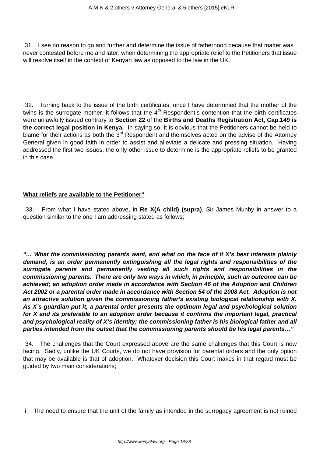31. I see no reason to go and further and determine the issue of fatherhood because that matter was never contested before me and later, when determining the appropriate relief to the Petitioners that issue will resolve itself in the context of Kenyan law as opposed to the law in the UK.

32. Turning back to the issue of the birth certificates, once I have determined that the mother of the twins is the surrogate mother, it follows that the  $4<sup>th</sup>$  Respondent's contention that the birth certificates were unlawfully issued contrary to **Section 22** of the **Births and Deaths Registration Act, Cap.149 is the correct legal position in Kenya.** In saying so, it is obvious that the Petitioners cannot be held to blame for their actions as both the  $3<sup>rd</sup>$  Respondent and themselves acted on the advise of the Attorney General given in good faith in order to assist and alleviate a delicate and pressing situation. Having addressed the first two issues, the only other issue to determine is the appropriate reliefs to be granted in this case.

### **What reliefs are available to the Petitioner"**

33. From what I have stated above, in **Re X(A child) (supra)**, Sir James Munby in answer to a question similar to the one I am addressing stated as follows;

**"… What the commissioning parents want, and what on the face of it X's best interests plainly demand, is an order permanently extinguishing all the legal rights and responsibilities of the surrogate parents and permanently vesting all such rights and responsibilities in the commissioning parents. There are only two ways in which, in principle, such an outcome can be achieved; an adoption order made in accordance with Section 46 of the Adoption and Children Act 2002 or a parental order made in accordance with Section 54 of the 2008 Act. Adoption is not an attractive solution given the commissioning father's existing biological relationship with X. As X's guardian put it, a parental order presents the optimum legal and psychological solution for X and its preferable to an adoption order because it confirms the important legal, practical and psychological reality of X's identity; the commissioning father is his biological father and all parties intended from the outset that the commissioning parents should be his legal parents…"**

34. The challenges that the Court expressed above are the same challenges that this Court is now facing. Sadly, unlike the UK Courts, we do not have provision for parental orders and the only option that may be available is that of adoption. Whatever decision this Court makes in that regard must be guided by two main considerations;

i. The need to ensure that the unit of the family as intended in the surrogacy agreement is not ruined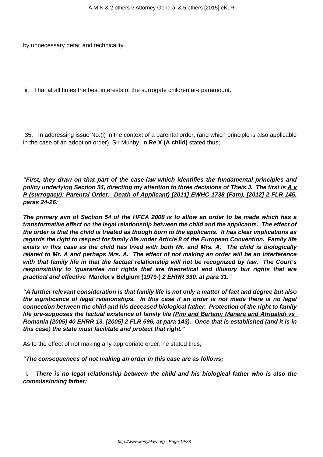by unnecessary detail and technicality.

ii. That at all times the best interests of the surrogate children are paramount.

35. In addressing issue No.(i) in the context of a parental order, (and which principle is also applicable in the case of an adoption order), Sir Munby, in **Re X (A child)** stated thus;

**"First, they draw on that part of the case-law which identifies the fundamental principles and policy underlying Section 54, directing my attention to three decisions of Theis J. The first is A v P (surrogacy): Parental Order: Death of Applicant) [2011] EWHC 1738 (Fam), [2012] 2 FLR 145, paras 24-26:**

**The primary aim of Section 54 of the HFEA 2008 is to allow an order to be made which has a transformative effect on the legal relationship between the child and the applicants. The effect of the order is that the child is treated as though born to the applicants. It has clear implications as regards the right to respect for family life under Article 8 of the European Convention. Family life exists in this case as the child has lived with both Mr. and Mrs. A. The child is biologically related to Mr. A and perhaps Mrs. A. The effect of not making an order will be an interference with that family life in that the factual relationship will not be recognized by law. The Court's responsibility to 'guarantee not rights that are theoretical and illusory but rights that are practical and effective' Marckx v Belgium (1979-) 2 EHRR 330, at para 31."**

**"A further relevant consideration is that family life is not only a matter of fact and degree but also the significance of legal relationships. In this case if an order is not made there is no legal connection between the child and his deceased biological father. Protection of the right to family life pre-supposes the factual existence of family life (Pini and Bertani; Manera and Atripalidi vs Romania (2005) 40 EHRR 13, [2005] 2 FLR 596, at para 143). Once that is established (and it is in this case) the state must facilitate and protect that right."**

As to the effect of not making any appropriate order, he stated thus;

**"The consequences of not making an order in this case are as follows;**

i. **There is no legal relationship between the child and his biological father who is also the commissioning father;**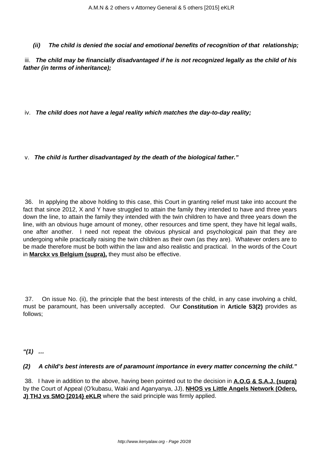## **(ii) The child is denied the social and emotional benefits of recognition of that relationship;**

iii. **The child may be financially disadvantaged if he is not recognized legally as the child of his father (in terms of inheritance);**

iv. **The child does not have a legal reality which matches the day-to-day reality;**

v. **The child is further disadvantaged by the death of the biological father."**

36. In applying the above holding to this case, this Court in granting relief must take into account the fact that since 2012, X and Y have struggled to attain the family they intended to have and three years down the line, to attain the family they intended with the twin children to have and three years down the line, with an obvious huge amount of money, other resources and time spent, they have hit legal walls, one after another. I need not repeat the obvious physical and psychological pain that they are undergoing while practically raising the twin children as their own (as they are). Whatever orders are to be made therefore must be both within the law and also realistic and practical. In the words of the Court in **Marckx vs Belgium (supra),** they must also be effective.

37. On issue No. (ii), the principle that the best interests of the child, in any case involving a child, must be paramount, has been universally accepted. Our **Constitution** in **Article 53(2)** provides as follows;

**"(1) …**

### **(2) A child's best interests are of paramount importance in every matter concerning the child."**

38. I have in addition to the above, having been pointed out to the decision in **A.O.G & S.A.J. (supra)** by the Court of Appeal (O'kubasu, Waki and Aganyanya, JJ), **NHOS vs Little Angels Network (Odero, J) THJ vs SMO [2014} eKLR** where the said principle was firmly applied.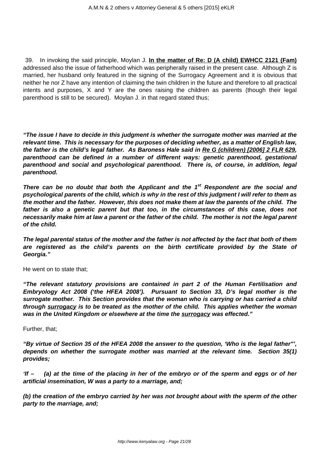39. In invoking the said principle, Moylan J. **In the matter of Re: D (A child) EWHCC 2121 (Fam)** addressed also the issue of fatherhood which was peripherally raised in the present case. Although Z is married, her husband only featured in the signing of the Surrogacy Agreement and it is obvious that neither he nor Z have any intention of claiming the twin children in the future and therefore to all practical intents and purposes, X and Y are the ones raising the children as parents (though their legal parenthood is still to be secured). Moylan J. in that regard stated thus;

**"The issue I have to decide in this judgment is whether the surrogate mother was married at the relevant time. This is necessary for the purposes of deciding whether, as a matter of English law, the father is the child's legal father. As Baroness Hale said in Re G (children) [2006] 2 FLR 629, parenthood can be defined in a number of different ways: genetic parenthood, gestational parenthood and social and psychological parenthood. There is, of course, in addition, legal parenthood.**

**There can be no doubt that both the Applicant and the 1st Respondent are the social and psychological parents of the child, which is why in the rest of this judgment I will refer to them as the mother and the father. However, this does not make them at law the parents of the child. The father is also a genetic parent but that too, in the circumstances of this case, does not necessarily make him at law a parent or the father of the child. The mother is not the legal parent of the child.**

**The legal parental status of the mother and the father is not affected by the fact that both of them are registered as the child's parents on the birth certificate provided by the State of Georgia."**

He went on to state that;

**"The relevant statutory provisions are contained in part 2 of the Human Fertilisation and Embryology Act 2008 ('the HFEA 2008'). Pursuant to Section 33, D's legal mother is the surrogate mother. This Section provides that the woman who is carrying or has carried a child through surrogacy is to be treated as the mother of the child. This applies whether the woman was in the United Kingdom or elsewhere at the time the surrogacy was effected."**

Further, that;

**"By virtue of Section 35 of the HFEA 2008 the answer to the question, 'Who is the legal father"', depends on whether the surrogate mother was married at the relevant time. Section 35(1) provides;**

**'If – (a) at the time of the placing in her of the embryo or of the sperm and eggs or of her artificial insemination, W was a party to a marriage, and;**

**(b) the creation of the embryo carried by her was not brought about with the sperm of the other party to the marriage, and;**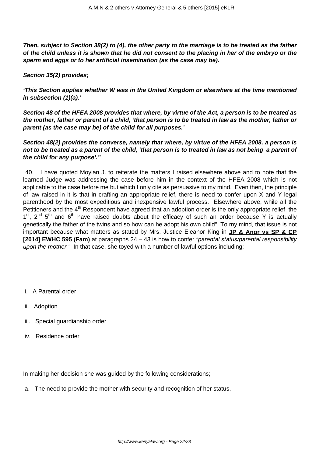**Then, subject to Section 38(2) to (4), the other party to the marriage is to be treated as the father of the child unless it is shown that he did not consent to the placing in her of the embryo or the sperm and eggs or to her artificial insemination (as the case may be).**

**Section 35(2) provides;**

**'This Section applies whether W was in the United Kingdom or elsewhere at the time mentioned in subsection (1)(a).'**

**Section 48 of the HFEA 2008 provides that where, by virtue of the Act, a person is to be treated as the mother, father or parent of a child, 'that person is to be treated in law as the mother, father or parent (as the case may be) of the child for all purposes.'**

**Section 48(2) provides the converse, namely that where, by virtue of the HFEA 2008, a person is not to be treated as a parent of the child, 'that person is to treated in law as not being a parent of the child for any purpose'."**

40. I have quoted Moylan J. to reiterate the matters I raised elsewhere above and to note that the learned Judge was addressing the case before him in the context of the HFEA 2008 which is not applicable to the case before me but which I only cite as persuasive to my mind. Even then, the principle of law raised in it is that in crafting an appropriate relief, there is need to confer upon X and Y legal parenthood by the most expeditious and inexpensive lawful process. Elsewhere above, while all the Petitioners and the 4<sup>th</sup> Respondent have agreed that an adoption order is the only appropriate relief, the  $1<sup>st</sup>$ ,  $2<sup>nd</sup>$   $5<sup>th</sup>$  and  $6<sup>th</sup>$  have raised doubts about the efficacy of such an order because Y is actually genetically the father of the twins and so how can he adopt his own child" To my mind, that issue is not important because what matters as stated by Mrs. Justice Eleanor King in **JP & Anor vs SP & CP [2014] EWHC 595 (Fam)** at paragraphs 24 – 43 is how to confer "parental status/parental responsibility upon the mother." In that case, she toyed with a number of lawful options including;

- i. A Parental order
- ii. Adoption
- iii. Special guardianship order
- iv. Residence order

In making her decision she was guided by the following considerations;

a. The need to provide the mother with security and recognition of her status,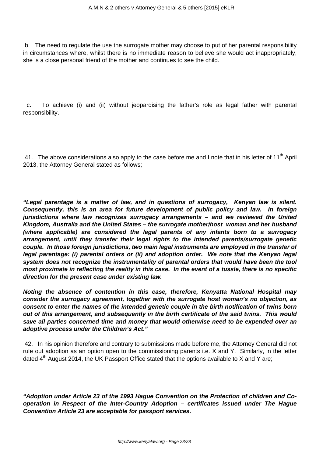b. The need to regulate the use the surrogate mother may choose to put of her parental responsibility in circumstances where, whilst there is no immediate reason to believe she would act inappropriately, she is a close personal friend of the mother and continues to see the child.

c. To achieve (i) and (ii) without jeopardising the father's role as legal father with parental responsibility.

41. The above considerations also apply to the case before me and I note that in his letter of 11<sup>th</sup> April 2013, the Attorney General stated as follows;

**"Legal parentage is a matter of law, and in questions of surrogacy, Kenyan law is silent. Consequently, this is an area for future development of public policy and law. In foreign jurisdictions where law recognizes surrogacy arrangements – and we reviewed the United Kingdom, Australia and the United States – the surrogate mother/host woman and her husband (where applicable) are considered the legal parents of any infants born to a surrogacy arrangement, until they transfer their legal rights to the intended parents/surrogate genetic couple. In those foreign jurisdictions, two main legal instruments are employed in the transfer of legal parentage: (i) parental orders or (ii) and adoption order. We note that the Kenyan legal system does not recognize the instrumentality of parental orders that would have been the tool most proximate in reflecting the reality in this case. In the event of a tussle, there is no specific direction for the present case under existing law.**

**Noting the absence of contention in this case, therefore, Kenyatta National Hospital may consider the surrogacy agreement, together with the surrogate host woman's no objection, as consent to enter the names of the intended genetic couple in the birth notification of twins born out of this arrangement, and subsequently in the birth certificate of the said twins. This would save all parties concerned time and money that would otherwise need to be expended over an adoptive process under the Children's Act."**

42. In his opinion therefore and contrary to submissions made before me, the Attorney General did not rule out adoption as an option open to the commissioning parents i.e. X and Y. Similarly, in the letter dated  $4<sup>th</sup>$  August 2014, the UK Passport Office stated that the options available to X and Y are;

**"Adoption under Article 23 of the 1993 Hague Convention on the Protection of children and Cooperation in Respect of the Inter-Country Adoption – certificates issued under The Hague Convention Article 23 are acceptable for passport services.**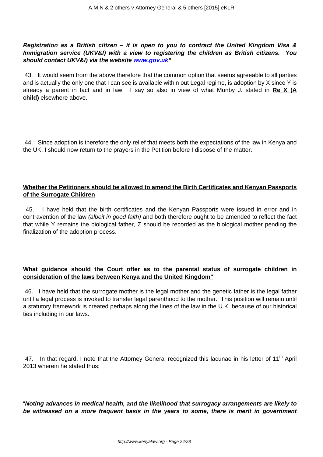**Registration as a British citizen – it is open to you to contract the United Kingdom Visa & Immigration service (UKV&I) with a view to registering the children as British citizens. You should contact UKV&I) via the website [www.gov.uk](http://www.gov.uk)"**

43. It would seem from the above therefore that the common option that seems agreeable to all parties and is actually the only one that I can see is available within out Legal regime, is adoption by X since Y is already a parent in fact and in law. I say so also in view of what Munby J. stated in **Re X (A child)** elsewhere above.

44. Since adoption is therefore the only relief that meets both the expectations of the law in Kenya and the UK, I should now return to the prayers in the Petition before I dispose of the matter.

## **Whether the Petitioners should be allowed to amend the Birth Certificates and Kenyan Passports of the Surrogate Children**

45. I have held that the birth certificates and the Kenyan Passports were issued in error and in contravention of the law *(albeit in good faith)* and both therefore ought to be amended to reflect the fact that while Y remains the biological father, Z should be recorded as the biological mother pending the finalization of the adoption process.

## **What guidance should the Court offer as to the parental status of surrogate children in consideration of the laws between Kenya and the United Kingdom"**

46. I have held that the surrogate mother is the legal mother and the genetic father is the legal father until a legal process is invoked to transfer legal parenthood to the mother. This position will remain until a statutory framework is created perhaps along the lines of the law in the U.K. because of our historical ties including in our laws.

47. In that regard, I note that the Attorney General recognized this lacunae in his letter of 11<sup>th</sup> April 2013 wherein he stated thus;

"**Noting advances in medical health, and the likelihood that surrogacy arrangements are likely to be witnessed on a more frequent basis in the years to some, there is merit in government**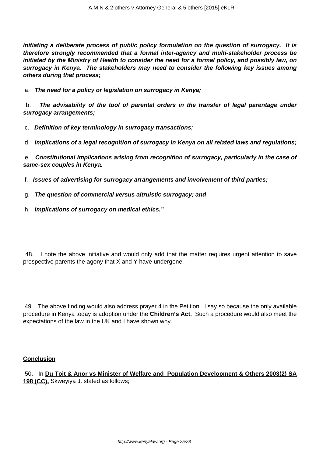**initiating a deliberate process of public policy formulation on the question of surrogacy. It is therefore strongly recommended that a formal inter-agency and multi-stakeholder process be initiated by the Ministry of Health to consider the need for a formal policy, and possibly law, on surrogacy in Kenya. The stakeholders may need to consider the following key issues among others during that process;**

a. **The need for a policy or legislation on surrogacy in Kenya;**

b. **The advisability of the tool of parental orders in the transfer of legal parentage under surrogacy arrangements;**

c. **Definition of key terminology in surrogacy transactions;**

d. **Implications of a legal recognition of surrogacy in Kenya on all related laws and regulations;**

e. **Constitutional implications arising from recognition of surrogacy, particularly in the case of same-sex couples in Kenya.**

- f. **Issues of advertising for surrogacy arrangements and involvement of third parties;**
- g. **The question of commercial versus altruistic surrogacy; and**
- h. **Implications of surrogacy on medical ethics."**

48. I note the above initiative and would only add that the matter requires urgent attention to save prospective parents the agony that X and Y have undergone.

49. The above finding would also address prayer 4 in the Petition. I say so because the only available procedure in Kenya today is adoption under the **Children's Act.** Such a procedure would also meet the expectations of the law in the UK and I have shown why.

### **Conclusion**

50. In **Du Toit & Anor vs Minister of Welfare and Population Development & Others 2003(2) SA 198 (CC),** Skweyiya J. stated as follows;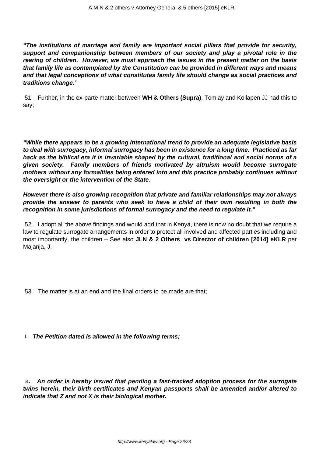**"The institutions of marriage and family are important social pillars that provide for security, support and companionship between members of our society and play a pivotal role in the rearing of children. However, we must approach the issues in the present matter on the basis that family life as contemplated by the Constitution can be provided in different ways and means and that legal conceptions of what constitutes family life should change as social practices and traditions change."**

51. Further, in the ex-parte matter between **WH & Others (Supra)**, Tomlay and Kollapen JJ had this to say;

**"While there appears to be a growing international trend to provide an adequate legislative basis to deal with surrogacy, informal surrogacy has been in existence for a long time. Practiced as far back as the biblical era it is invariable shaped by the cultural, traditional and social norms of a given society. Family members of friends motivated by altruism would become surrogate mothers without any formalities being entered into and this practice probably continues without the oversight or the intervention of the State.**

**However there is also growing recognition that private and familiar relationships may not always provide the answer to parents who seek to have a child of their own resulting in both the recognition in some jurisdictions of formal surrogacy and the need to regulate it."**

52. I adopt all the above findings and would add that in Kenya, there is now no doubt that we require a law to regulate surrogate arrangements in order to protect all involved and affected parties including and most importantly, the children – See also **JLN & 2 Others vs Director of children [2014] eKLR** per Majanja, J.

- 53. The matter is at an end and the final orders to be made are that;
- i. **The Petition dated is allowed in the following terms;**

a. **An order is hereby issued that pending a fast-tracked adoption process for the surrogate twins herein, their birth certificates and Kenyan passports shall be amended and/or altered to indicate that Z and not X is their biological mother.**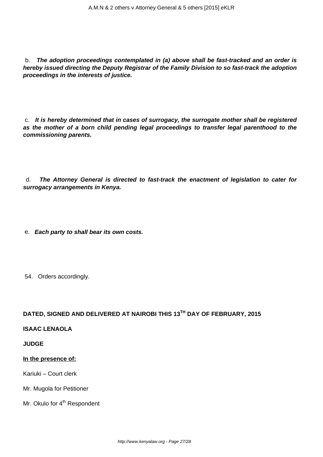b. **The adoption proceedings contemplated in (a) above shall be fast-tracked and an order is hereby issued directing the Deputy Registrar of the Family Division to so fast-track the adoption proceedings in the interests of justice.**

c. **It is hereby determined that in cases of surrogacy, the surrogate mother shall be registered as the mother of a born child pending legal proceedings to transfer legal parenthood to the commissioning parents.**

d. **The Attorney General is directed to fast-track the enactment of legislation to cater for surrogacy arrangements in Kenya.**

e. **Each party to shall bear its own costs.**

54. Orders accordingly.

# **DATED, SIGNED AND DELIVERED AT NAIROBI THIS 13TH DAY OF FEBRUARY, 2015**

### **ISAAC LENAOLA**

### **JUDGE**

#### **In the presence of:**

Kariuki – Court clerk

Mr. Mugola for Petitioner

Mr. Okulo for 4<sup>th</sup> Respondent